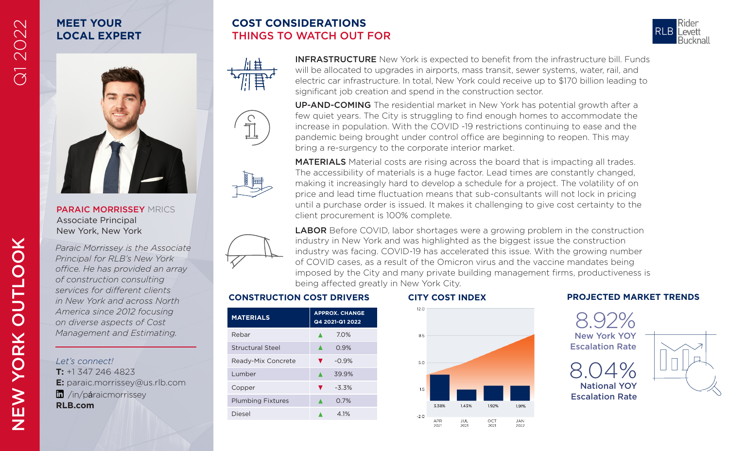# **MEET YOUR LOCAL EXPERT**

# **COST CONSIDERATIONS** THINGS TO WATCH OUT FOR





MEET YOUR<br>
COCAL EXPERT THINGS TO WATCH OUT FOR<br>
INFRASTRUCTURE New York is expected to benefit from the infrastructure bill. Funds<br>
Will be allocated to upgrades in airports, mass transit, sewer systems, water, rail, and<br> significant job creation and spend in the construction sector.

> UP-AND-COMING The residential market in New York has potential growth after a few quiet years. The City is struggling to find enough homes to accommodate the increase in population. With the COVID -19 restrictions continuing to ease and the pandemic being brought under control office are beginning to reopen. This may bring a re-surgency to the corporate interior market.



MATERIALS Material costs are rising across the board that is impacting all trades. The accessibility of materials is a huge factor. Lead times are constantly changed, making it increasingly hard to develop a schedule for a project. The volatility of on price and lead time fluctuation means that sub-consultants will not lock in pricing until a purchase order is issued. It makes it challenging to give cost certainty to the client procurement is 100% complete.



**LABOR** Before COVID, labor shortages were a growing problem in the construction industry in New York and was highlighted as the biggest issue the construction industry was facing. COVID-19 has accelerated this issue. With the growing number of COVID cases, as a result of the Omicron virus and the vaccine mandates being imposed by the City and many private building management firms, productiveness is being affected greatly in New York City.

| <b>MATERIALS</b>         | <b>APPROX. CHANGE</b><br>Q4 2021-Q1 2022 |
|--------------------------|------------------------------------------|
| Rebar                    | 70%                                      |
| <b>Structural Steel</b>  | 0.9%                                     |
| Ready-Mix Concrete       | $-0.9%$                                  |
| Lumber                   | 39.9%                                    |
| Copper                   | $-3.3%$                                  |
| <b>Plumbing Fixtures</b> | 0.7%                                     |
| Diesel                   | 4 1%                                     |
|                          |                                          |



#### **CONSTRUCTION COST DRIVERS CITY COST INDEX PROJECTED MARKET TRENDS**



NEW

*Paraic Morrissey is the Associate Principal for RLB's New York office. He has provided an array of construction consulting services for different clients in New York and across North America since 2012 focusing on diverse aspects of Cost Management and Estimating.* 

PARAIC MORRISSEY MRICS

Associate Principal

*Let's connect!*

**T:** +1 347 246 4823 **E:** paraic.morrissey@us.rlb.com **n** /in/páraicmorrissey **RLB.com**